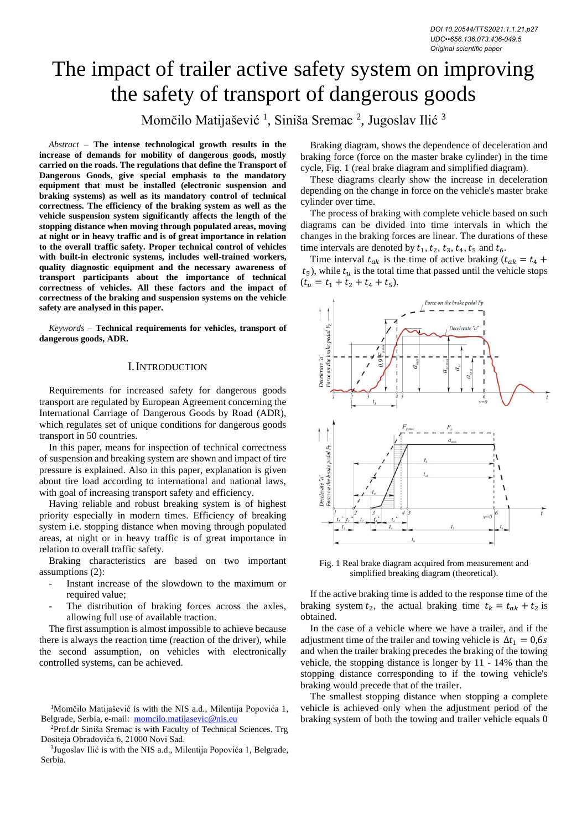# The impact of trailer active safety system on improving the safety of transport of dangerous goods

Momčilo Matijašević<sup>1</sup>, Siniša Sremac<sup>2</sup>, Jugoslav Ilić<sup>3</sup>

*Abstract –* **The intense technological growth results in the increase of demands for mobility of dangerous goods, mostly carried on the roads. The regulations that define the Transport of Dangerous Goods, give special emphasis to the mandatory equipment that must be installed (electronic suspension and braking systems) as well as its mandatory control of technical correctness. The efficiency of the braking system as well as the vehicle suspension system significantly affects the length of the stopping distance when moving through populated areas, moving at night or in heavy traffic and is of great importance in relation to the overall traffic safety. Proper technical control of vehicles with built-in electronic systems, includes well-trained workers, quality diagnostic equipment and the necessary awareness of transport participants about the importance of technical correctness of vehicles. All these factors and the impact of correctness of the braking and suspension systems on the vehicle safety are analysed in this paper.**

*Keywords –* **Technical requirements for vehicles, transport of dangerous goods, ADR.**

## I.INTRODUCTION

Requirements for increased safety for dangerous goods transport are regulated by European Agreement concerning the International Carriage of Dangerous Goods by Road (ADR), which regulates set of unique conditions for dangerous goods transport in 50 countries.

In this paper, means for inspection of technical correctness of suspension and breaking system are shown and impact of tire pressure is explained. Also in this paper, explanation is given about tire load according to international and national laws, with goal of increasing transport safety and efficiency.

Having reliable and robust breaking system is of highest priority especially in modern times. Efficiency of breaking system i.e. stopping distance when moving through populated areas, at night or in heavy traffic is of great importance in relation to overall traffic safety.

Braking characteristics are based on two important assumptions (2):

- Instant increase of the slowdown to the maximum or required value;
- The distribution of braking forces across the axles, allowing full use of available traction.

The first assumption is almost impossible to achieve because there is always the reaction time (reaction of the driver), while the second assumption, on vehicles with electronically controlled systems, can be achieved.

<sup>2</sup>Prof.dr Siniša Sremac is with Faculty of Technical Sciences. Trg Dositeja Obradovića 6, 21000 Novi Sad.

<sup>3</sup>Jugoslav Ilić is with the NIS a.d., Milentija Popovića 1, Belgrade, Serbia.

Braking diagram, shows the dependence of deceleration and braking force (force on the master brake cylinder) in the time cycle, Fig. 1 (real brake diagram and simplified diagram).

These diagrams clearly show the increase in deceleration depending on the change in force on the vehicle's master brake cylinder over time.

The process of braking with complete vehicle based on such diagrams can be divided into time intervals in which the changes in the braking forces are linear. The durations of these time intervals are denoted by  $t_1$ ,  $t_2$ ,  $t_3$ ,  $t_4$ ,  $t_5$  and  $t_6$ .

Time interval  $t_{ak}$  is the time of active braking  $(t_{ak} = t_4 + t_5)$  $t_5$ ), while  $t_u$  is the total time that passed until the vehicle stops  $(t_u = t_1 + t_2 + t_4 + t_5).$ 



Fig. 1 Real brake diagram acquired from measurement and simplified breaking diagram (theoretical).

If the active braking time is added to the response time of the braking system  $t_2$ , the actual braking time  $t_k = t_{ak} + t_2$  is obtained.

In the case of a vehicle where we have a trailer, and if the adjustment time of the trailer and towing vehicle is  $\Delta t_1 = 0.6s$ and when the trailer braking precedes the braking of the towing vehicle, the stopping distance is longer by 11 - 14% than the stopping distance corresponding to if the towing vehicle's braking would precede that of the trailer.

The smallest stopping distance when stopping a complete vehicle is achieved only when the adjustment period of the braking system of both the towing and trailer vehicle equals 0

<sup>&</sup>lt;sup>1</sup>Momčilo Matijašević is with the NIS a.d., Milentija Popovića 1, Belgrade, Serbia, e-mail: [momcilo.matijasevic@nis.eu](mailto:momcilo.matijasevic@nis.eu)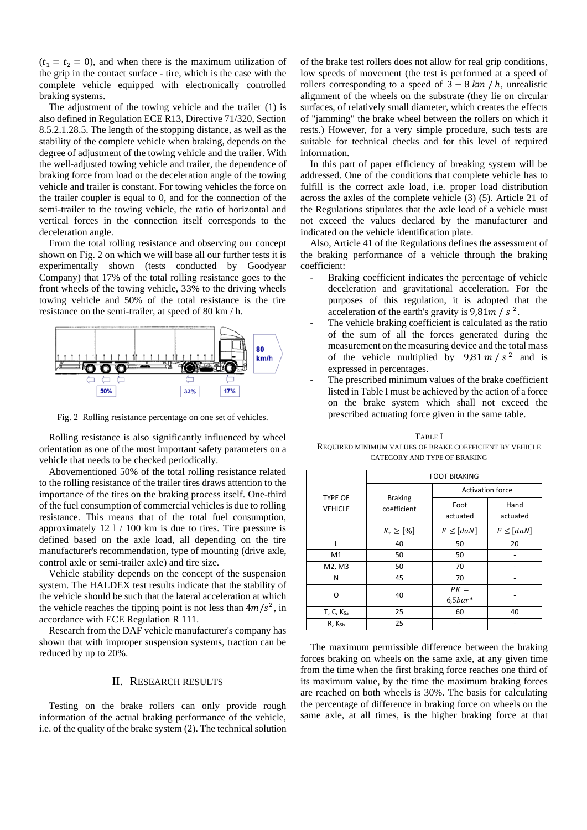$(t_1 = t_2 = 0)$ , and when there is the maximum utilization of the grip in the contact surface - tire, which is the case with the complete vehicle equipped with electronically controlled braking systems.

The adjustment of the towing vehicle and the trailer (1) is also defined in Regulation ECE R13, Directive 71/320, Section 8.5.2.1.28.5. The length of the stopping distance, as well as the stability of the complete vehicle when braking, depends on the degree of adjustment of the towing vehicle and the trailer. With the well-adjusted towing vehicle and trailer, the dependence of braking force from load or the deceleration angle of the towing vehicle and trailer is constant. For towing vehicles the force on the trailer coupler is equal to 0, and for the connection of the semi-trailer to the towing vehicle, the ratio of horizontal and vertical forces in the connection itself corresponds to the deceleration angle.

From the total rolling resistance and observing our concept shown on Fig. 2 on which we will base all our further tests it is experimentally shown (tests conducted by Goodyear Company) that 17% of the total rolling resistance goes to the front wheels of the towing vehicle, 33% to the driving wheels towing vehicle and 50% of the total resistance is the tire resistance on the semi-trailer, at speed of 80 km / h.



Fig. 2 Rolling resistance percentage on one set of vehicles.

Rolling resistance is also significantly influenced by wheel orientation as one of the most important safety parameters on a vehicle that needs to be checked periodically.

Abovementioned 50% of the total rolling resistance related to the rolling resistance of the trailer tires draws attention to the importance of the tires on the braking process itself. One-third of the fuel consumption of commercial vehicles is due to rolling resistance. This means that of the total fuel consumption, approximately 12 l / 100 km is due to tires. Tire pressure is defined based on the axle load, all depending on the tire manufacturer's recommendation, type of mounting (drive axle, control axle or semi-trailer axle) and tire size.

Vehicle stability depends on the concept of the suspension system. The HALDEX test results indicate that the stability of the vehicle should be such that the lateral acceleration at which the vehicle reaches the tipping point is not less than  $4m/s^2$ , in accordance with ECE Regulation R 111.

Research from the DAF vehicle manufacturer's company has shown that with improper suspension systems, traction can be reduced by up to 20%.

#### II. RESEARCH RESULTS

Testing on the brake rollers can only provide rough information of the actual braking performance of the vehicle, i.e. of the quality of the brake system (2). The technical solution

of the brake test rollers does not allow for real grip conditions, low speeds of movement (the test is performed at a speed of rollers corresponding to a speed of  $3 - 8 km/h$ , unrealistic alignment of the wheels on the substrate (they lie on circular surfaces, of relatively small diameter, which creates the effects of "jamming" the brake wheel between the rollers on which it rests.) However, for a very simple procedure, such tests are suitable for technical checks and for this level of required information.

In this part of paper efficiency of breaking system will be addressed. One of the conditions that complete vehicle has to fulfill is the correct axle load, i.e. proper load distribution across the axles of the complete vehicle (3) (5). Article 21 of the Regulations stipulates that the axle load of a vehicle must not exceed the values declared by the manufacturer and indicated on the vehicle identification plate.

Also, Article 41 of the Regulations defines the assessment of the braking performance of a vehicle through the braking coefficient:

- Braking coefficient indicates the percentage of vehicle deceleration and gravitational acceleration. For the purposes of this regulation, it is adopted that the acceleration of the earth's gravity is  $9,81m / s^2$ .
- The vehicle braking coefficient is calculated as the ratio of the sum of all the forces generated during the measurement on the measuring device and the total mass of the vehicle multiplied by  $9.81 \, \text{m/s}^2$  and is expressed in percentages.
- The prescribed minimum values of the brake coefficient listed in Table I must be achieved by the action of a force on the brake system which shall not exceed the prescribed actuating force given in the same table.

| <b>TYPE OF</b><br><b>VEHICLE</b> | <b>FOOT BRAKING</b>           |                         |                  |  |  |
|----------------------------------|-------------------------------|-------------------------|------------------|--|--|
|                                  | <b>Braking</b><br>coefficient | <b>Activation force</b> |                  |  |  |
|                                  |                               | Foot<br>actuated        | Hand<br>actuated |  |  |
|                                  | $K_r \geq [%]$                | $F \leq [daN]$          | $F \leq [daN]$   |  |  |
|                                  | 40                            | 50                      | 20               |  |  |
| M1                               | 50                            | 50                      |                  |  |  |
| M2, M3                           | 50                            | 70                      |                  |  |  |
| N                                | 45                            | 70                      |                  |  |  |
| O                                | 40                            | $PK =$<br>$6,5bar*$     |                  |  |  |
| T, C, K <sub>5a</sub>            | 25                            | 60                      | 40               |  |  |
| $R, K_{5b}$                      | 25                            |                         |                  |  |  |

TABLE I REQUIRED MINIMUM VALUES OF BRAKE COEFFICIENT BY VEHICLE CATEGORY AND TYPE OF BRAKING

The maximum permissible difference between the braking forces braking on wheels on the same axle, at any given time from the time when the first braking force reaches one third of its maximum value, by the time the maximum braking forces are reached on both wheels is 30%. The basis for calculating the percentage of difference in braking force on wheels on the same axle, at all times, is the higher braking force at that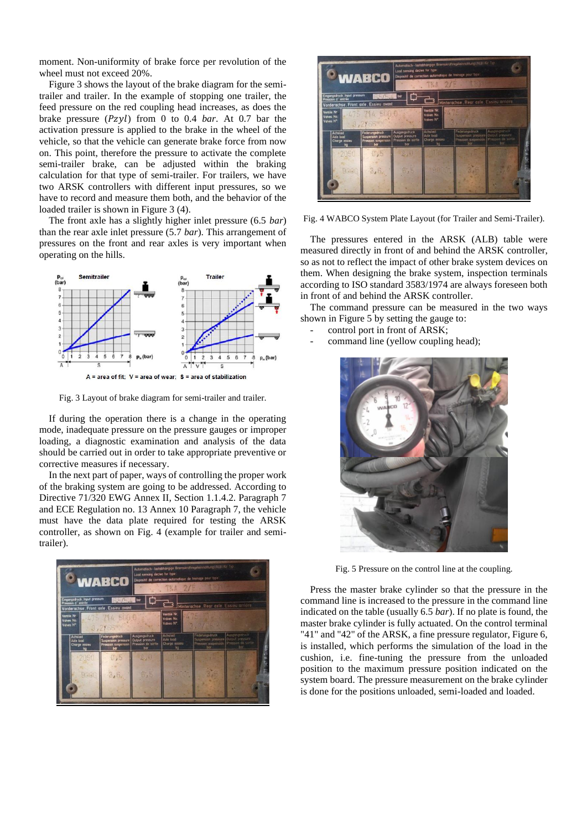moment. Non-uniformity of brake force per revolution of the wheel must not exceed 20%.

Figure 3 shows the layout of the brake diagram for the semitrailer and trailer. In the example of stopping one trailer, the feed pressure on the red coupling head increases, as does the brake pressure  $(Pzyl)$  from 0 to 0.4 *bar*. At 0.7 bar the activation pressure is applied to the brake in the wheel of the vehicle, so that the vehicle can generate brake force from now on. This point, therefore the pressure to activate the complete semi-trailer brake, can be adjusted within the braking calculation for that type of semi-trailer. For trailers, we have two ARSK controllers with different input pressures, so we have to record and measure them both, and the behavior of the loaded trailer is shown in Figure 3 (4).

The front axle has a slightly higher inlet pressure (6.5 *bar*) than the rear axle inlet pressure (5.7 *bar*). This arrangement of pressures on the front and rear axles is very important when operating on the hills.



Fig. 3 Layout of brake diagram for semi-trailer and trailer.

If during the operation there is a change in the operating mode, inadequate pressure on the pressure gauges or improper loading, a diagnostic examination and analysis of the data should be carried out in order to take appropriate preventive or corrective measures if necessary.

In the next part of paper, ways of controlling the proper work of the braking system are going to be addressed. According to Directive 71/320 EWG Annex II, Section 1.1.4.2. Paragraph 7 and ECE Regulation no. 13 Annex 10 Paragraph 7, the vehicle must have the data plate required for testing the ARSK controller, as shown on Fig. 4 (example for trailer and semitrailer).





Fig. 4 WABCO System Plate Layout (for Trailer and Semi-Trailer).

The pressures entered in the ARSK (ALB) table were measured directly in front of and behind the ARSK controller, so as not to reflect the impact of other brake system devices on them. When designing the brake system, inspection terminals according to ISO standard 3583/1974 are always foreseen both in front of and behind the ARSK controller.

The command pressure can be measured in the two ways shown in Figure 5 by setting the gauge to:

- control port in front of ARSK;
- command line (yellow coupling head);



Fig. 5 Pressure on the control line at the coupling.

Press the master brake cylinder so that the pressure in the command line is increased to the pressure in the command line indicated on the table (usually 6.5 *bar*). If no plate is found, the master brake cylinder is fully actuated. On the control terminal "41" and "42" of the ARSK, a fine pressure regulator, Figure 6, is installed, which performs the simulation of the load in the cushion, i.e. fine-tuning the pressure from the unloaded position to the maximum pressure position indicated on the system board. The pressure measurement on the brake cylinder is done for the positions unloaded, semi-loaded and loaded.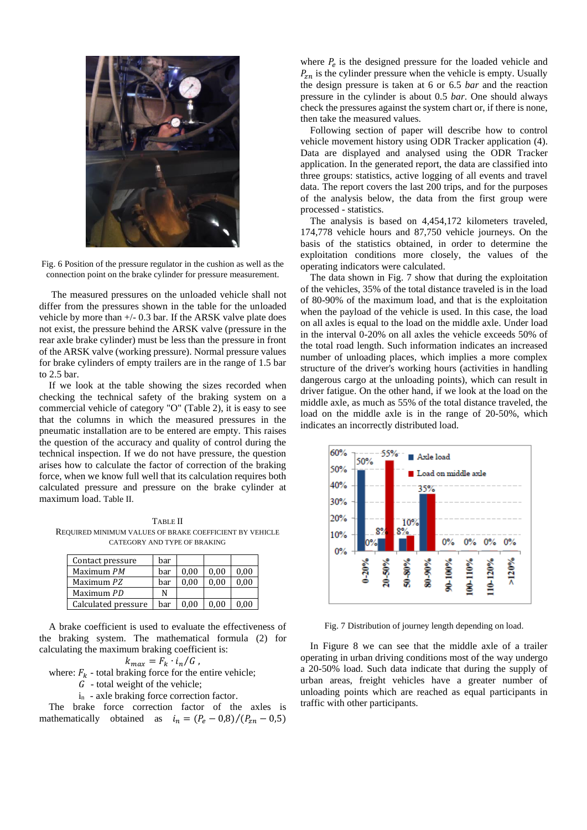

Fig. 6 Position of the pressure regulator in the cushion as well as the connection point on the brake cylinder for pressure measurement.

The measured pressures on the unloaded vehicle shall not differ from the pressures shown in the table for the unloaded vehicle by more than +/- 0.3 bar. If the ARSK valve plate does not exist, the pressure behind the ARSK valve (pressure in the rear axle brake cylinder) must be less than the pressure in front of the ARSK valve (working pressure). Normal pressure values for brake cylinders of empty trailers are in the range of 1.5 bar to 2.5 bar.

If we look at the table showing the sizes recorded when checking the technical safety of the braking system on a commercial vehicle of category "O" (Table 2), it is easy to see that the columns in which the measured pressures in the pneumatic installation are to be entered are empty. This raises the question of the accuracy and quality of control during the technical inspection. If we do not have pressure, the question arises how to calculate the factor of correction of the braking force, when we know full well that its calculation requires both calculated pressure and pressure on the brake cylinder at maximum load. Table II.

TABLE II REQUIRED MINIMUM VALUES OF BRAKE COEFFICIENT BY VEHICLE CATEGORY AND TYPE OF BRAKING

| Contact pressure    | bar |      |      |      |
|---------------------|-----|------|------|------|
| Maximum PM          | bar | 0.00 | 0.00 | 0.00 |
| Maximum PZ          | bar | 0.00 | 0.00 | 0.00 |
| Maximum PD          | N   |      |      |      |
| Calculated pressure | bar | 0.00 | 0.00 | 0.00 |

A brake coefficient is used to evaluate the effectiveness of the braking system. The mathematical formula (2) for calculating the maximum braking coefficient is:

$$
k_{max} = F_k \cdot i_n / G,
$$

where:  $F_k$  - total braking force for the entire vehicle;

 $\ddot{G}$  - total weight of the vehicle;

in - axle braking force correction factor.

The brake force correction factor of the axles is mathematically obtained as  $i_n = (P_e - 0.8)/(P_{zn} - 0.5)$ 

where  $P_e$  is the designed pressure for the loaded vehicle and  $P_{zn}$  is the cylinder pressure when the vehicle is empty. Usually the design pressure is taken at 6 or 6.5 *bar* and the reaction pressure in the cylinder is about 0.5 *bar*. One should always check the pressures against the system chart or, if there is none, then take the measured values.

Following section of paper will describe how to control vehicle movement history using ODR Tracker application (4). Data are displayed and analysed using the ODR Tracker application. In the generated report, the data are classified into three groups: statistics, active logging of all events and travel data. The report covers the last 200 trips, and for the purposes of the analysis below, the data from the first group were processed - statistics.

The analysis is based on 4,454,172 kilometers traveled, 174,778 vehicle hours and 87,750 vehicle journeys. On the basis of the statistics obtained, in order to determine the exploitation conditions more closely, the values of the operating indicators were calculated.

The data shown in Fig. 7 show that during the exploitation of the vehicles, 35% of the total distance traveled is in the load of 80-90% of the maximum load, and that is the exploitation when the payload of the vehicle is used. In this case, the load on all axles is equal to the load on the middle axle. Under load in the interval 0-20% on all axles the vehicle exceeds 50% of the total road length. Such information indicates an increased number of unloading places, which implies a more complex structure of the driver's working hours (activities in handling dangerous cargo at the unloading points), which can result in driver fatigue. On the other hand, if we look at the load on the middle axle, as much as 55% of the total distance traveled, the load on the middle axle is in the range of 20-50%, which indicates an incorrectly distributed load.



Fig. 7 Distribution of journey length depending on load.

In Figure 8 we can see that the middle axle of a trailer operating in urban driving conditions most of the way undergo a 20-50% load. Such data indicate that during the supply of urban areas, freight vehicles have a greater number of unloading points which are reached as equal participants in traffic with other participants.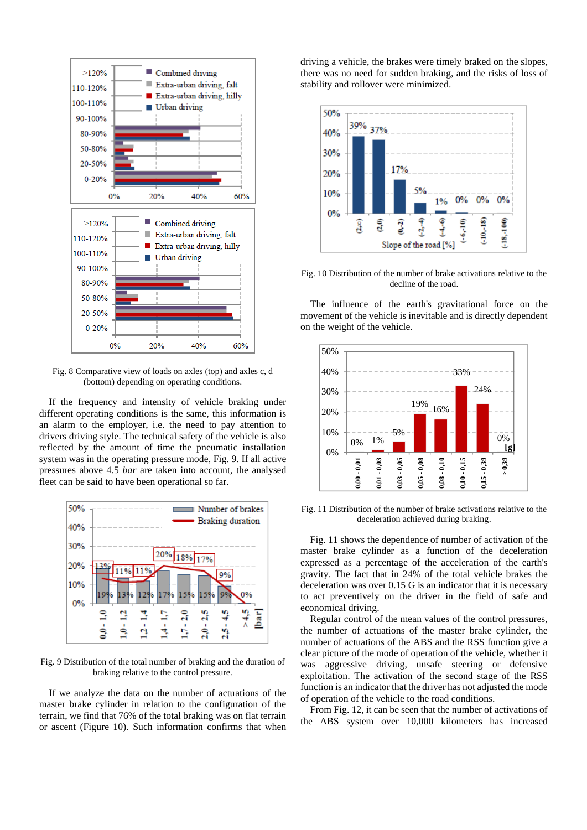

Fig. 8 Comparative view of loads on axles (top) and axles c, d (bottom) depending on operating conditions.

If the frequency and intensity of vehicle braking under different operating conditions is the same, this information is an alarm to the employer, i.e. the need to pay attention to drivers driving style. The technical safety of the vehicle is also reflected by the amount of time the pneumatic installation system was in the operating pressure mode, Fig. 9. If all active pressures above 4.5 *bar* are taken into account, the analysed fleet can be said to have been operational so far.



Fig. 9 Distribution of the total number of braking and the duration of braking relative to the control pressure.

If we analyze the data on the number of actuations of the master brake cylinder in relation to the configuration of the terrain, we find that 76% of the total braking was on flat terrain or ascent (Figure 10). Such information confirms that when driving a vehicle, the brakes were timely braked on the slopes, there was no need for sudden braking, and the risks of loss of stability and rollover were minimized.



Fig. 10 Distribution of the number of brake activations relative to the decline of the road.

The influence of the earth's gravitational force on the movement of the vehicle is inevitable and is directly dependent on the weight of the vehicle.



Fig. 11 Distribution of the number of brake activations relative to the deceleration achieved during braking.

Fig. 11 shows the dependence of number of activation of the master brake cylinder as a function of the deceleration expressed as a percentage of the acceleration of the earth's gravity. The fact that in 24% of the total vehicle brakes the deceleration was over 0.15 G is an indicator that it is necessary to act preventively on the driver in the field of safe and economical driving.

Regular control of the mean values of the control pressures, the number of actuations of the master brake cylinder, the number of actuations of the ABS and the RSS function give a clear picture of the mode of operation of the vehicle, whether it was aggressive driving, unsafe steering or defensive exploitation. The activation of the second stage of the RSS function is an indicator that the driver has not adjusted the mode of operation of the vehicle to the road conditions.

From Fig. 12, it can be seen that the number of activations of the ABS system over 10,000 kilometers has increased